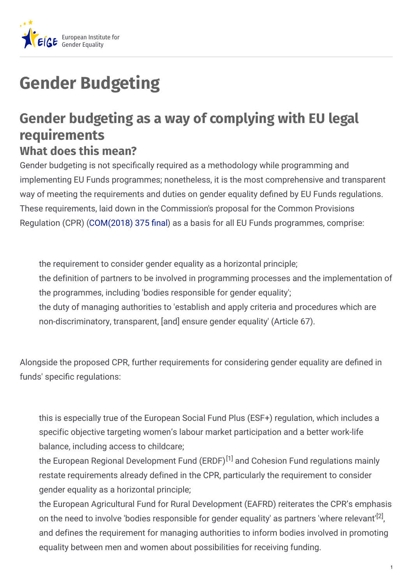

## **Gender Budgeting**

## **Gender budgeting as a way of complying with EU legal requirements What does this mean?**

Gender budgeting is not specifically required as a methodology while programming and implementing EU Funds programmes; nonetheless, it is the most comprehensive and transparent way of meeting the requirements and duties on gender equality defined by EU Funds regulations. These requirements, laid down in the Commission's proposal for the Common Provisions Regulation (CPR) [\(COM\(2018\)](https://ec.europa.eu/commission/sites/beta-political/files/budget-may2018-common-provisions_en.pdf) 375 final) as a basis for all EU Funds programmes, comprise:

the requirement to consider gender equality as a horizontal principle; the definition of partners to be involved in programming processes and the implementation of the programmes, including 'bodies responsible for gender equality'; the duty of managing authorities to 'establish and apply criteria and procedures which are non-discriminatory, transparent, [and] ensure gender equality' (Article 67).

Alongside the proposed CPR, further requirements for considering gender equality are defined in funds' specific regulations:

this is especially true of the European Social Fund Plus (ESF+) regulation, which includes a specific objective targeting women's labour market participation and a better work-life balance, including access to childcare;

the European Regional Development Fund (ERDF)<sup>[1]</sup> and Cohesion Fund regulations mainly restate requirements already defined in the CPR, particularly the requirement to consider gender equality as a horizontal principle;

the European Agricultural Fund for Rural Development (EAFRD) reiterates the CPR's emphasis on the need to involve 'bodies responsible for gender equality' as partners 'where relevant'<sup>[2]</sup>, and defines the requirement for managing authorities to inform bodies involved in promoting equality between men and women about possibilities for receiving funding.